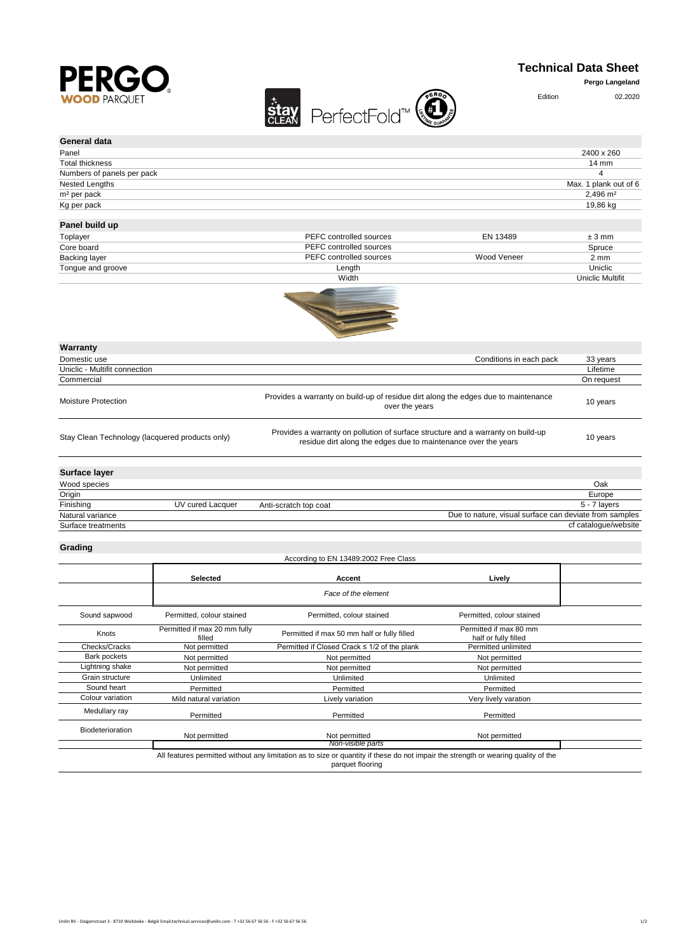

## **Technical Data Sheet**

**Pergo Langeland**

| $\blacksquare$<br><b>WOOD PARQUET</b>           | PerfectFold™<br><b>stay</b>                                                                                                                        | Edition                 | 02.2020                 |
|-------------------------------------------------|----------------------------------------------------------------------------------------------------------------------------------------------------|-------------------------|-------------------------|
| General data                                    |                                                                                                                                                    |                         |                         |
| Panel                                           |                                                                                                                                                    |                         | 2400 x 260              |
| <b>Total thickness</b>                          |                                                                                                                                                    |                         | 14 mm                   |
| Numbers of panels per pack                      |                                                                                                                                                    |                         | 4                       |
| Nested Lengths                                  |                                                                                                                                                    |                         | Max. 1 plank out of 6   |
| m <sup>2</sup> per pack                         |                                                                                                                                                    |                         | $2.496 \text{ m}^2$     |
| Kg per pack                                     |                                                                                                                                                    |                         | 19,86 kg                |
| Panel build up                                  |                                                                                                                                                    |                         |                         |
| Toplayer                                        | PEFC controlled sources                                                                                                                            | EN 13489                | $±3$ mm                 |
| Core board                                      | PEFC controlled sources                                                                                                                            |                         | Spruce                  |
| Backing layer                                   | PEFC controlled sources                                                                                                                            | Wood Veneer             | $2 \, \text{mm}$        |
| Tongue and groove                               | Length                                                                                                                                             |                         | Uniclic                 |
|                                                 | Width                                                                                                                                              |                         | <b>Uniclic Multifit</b> |
|                                                 |                                                                                                                                                    |                         |                         |
| Warranty                                        |                                                                                                                                                    |                         |                         |
| Domestic use                                    |                                                                                                                                                    | Conditions in each pack | 33 years                |
| Uniclic - Multifit connection                   |                                                                                                                                                    |                         | Lifetime                |
| Commercial                                      |                                                                                                                                                    |                         | On request              |
| <b>Moisture Protection</b>                      | Provides a warranty on build-up of residue dirt along the edges due to maintenance<br>over the years                                               |                         | 10 years                |
| Stay Clean Technology (lacquered products only) | Provides a warranty on pollution of surface structure and a warranty on build-up<br>residue dirt along the edges due to maintenance over the years |                         | 10 years                |
| Surface laver                                   |                                                                                                                                                    |                         |                         |

| <b>UULLUUU IUTUL</b> |                  |                       |                                                        |
|----------------------|------------------|-----------------------|--------------------------------------------------------|
| Wood species         |                  |                       | Oak                                                    |
| Origin               |                  |                       | Europe                                                 |
| Finishing            | UV cured Lacquer | Anti-scratch top coat | 5 - 7 lavers                                           |
| Natural variance     |                  |                       | Due to nature, visual surface can deviate from samples |
| Surface treatments   |                  |                       | cf catalogue/website                                   |

## **Grading**

| According to EN 13489:2002 Free Class |                                        |                                                                                                                                                        |                                                |  |
|---------------------------------------|----------------------------------------|--------------------------------------------------------------------------------------------------------------------------------------------------------|------------------------------------------------|--|
|                                       | Selected                               | Accent                                                                                                                                                 | Lively                                         |  |
|                                       |                                        | Face of the element                                                                                                                                    |                                                |  |
| Sound sapwood                         | Permitted, colour stained              | Permitted, colour stained                                                                                                                              | Permitted, colour stained                      |  |
| Knots                                 | Permitted if max 20 mm fully<br>filled | Permitted if max 50 mm half or fully filled                                                                                                            | Permitted if max 80 mm<br>half or fully filled |  |
| Checks/Cracks                         | Not permitted                          | Permitted if Closed Crack ≤ 1/2 of the plank                                                                                                           | Permitted unlimited                            |  |
| Bark pockets                          | Not permitted                          | Not permitted                                                                                                                                          | Not permitted                                  |  |
| ightning shake                        | Not permitted                          | Not permitted                                                                                                                                          | Not permitted                                  |  |
| Grain structure                       | Unlimited                              | Unlimited                                                                                                                                              | Unlimited                                      |  |
| Sound heart                           | Permitted                              | Permitted                                                                                                                                              | Permitted                                      |  |
| Colour variation                      | Mild natural variation                 | Lively variation                                                                                                                                       | Very lively varation                           |  |
| Medullary ray                         | Permitted                              | Permitted                                                                                                                                              | Permitted                                      |  |
| Biodeterioration                      | Not permitted                          | Not permitted                                                                                                                                          | Not permitted                                  |  |
|                                       |                                        | Non-visible parts                                                                                                                                      |                                                |  |
|                                       |                                        | All features permitted without any limitation as to size or quantity if these do not impair the strength or wearing quality of the<br>parquet flooring |                                                |  |